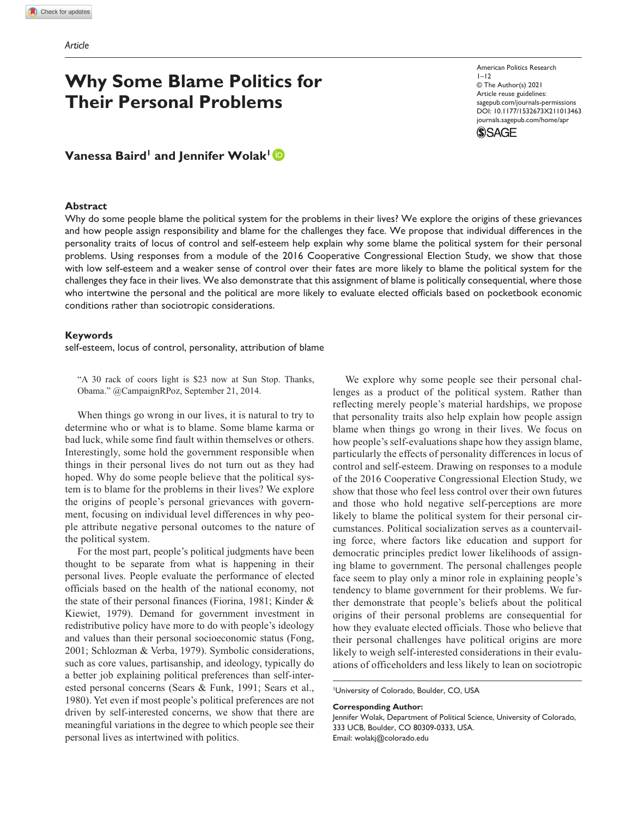# **Why Some Blame Politics for Their Personal Problems**

DOI: 10.1177/1532673X211013463 American Politics Research  $1 - 12$ © The Author(s) 2021 Article reuse guidelines: [sagepub.com/journals-permissions](https://us.sagepub.com/en-us/journals-permissions)  [journals.sagepub.com/home/apr](https://journals.sagepub.com/home/apr)



# **Vanessa Baird<sup>1</sup> and Jennifer Wolak<sup>1</sup><sup>1</sup>**

### **Abstract**

Why do some people blame the political system for the problems in their lives? We explore the origins of these grievances and how people assign responsibility and blame for the challenges they face. We propose that individual differences in the personality traits of locus of control and self-esteem help explain why some blame the political system for their personal problems. Using responses from a module of the 2016 Cooperative Congressional Election Study, we show that those with low self-esteem and a weaker sense of control over their fates are more likely to blame the political system for the challenges they face in their lives. We also demonstrate that this assignment of blame is politically consequential, where those who intertwine the personal and the political are more likely to evaluate elected officials based on pocketbook economic conditions rather than sociotropic considerations.

### **Keywords**

self-esteem, locus of control, personality, attribution of blame

"A 30 rack of coors light is \$23 now at Sun Stop. Thanks, Obama." @CampaignRPoz, September 21, 2014.

When things go wrong in our lives, it is natural to try to determine who or what is to blame. Some blame karma or bad luck, while some find fault within themselves or others. Interestingly, some hold the government responsible when things in their personal lives do not turn out as they had hoped. Why do some people believe that the political system is to blame for the problems in their lives? We explore the origins of people's personal grievances with government, focusing on individual level differences in why people attribute negative personal outcomes to the nature of the political system.

For the most part, people's political judgments have been thought to be separate from what is happening in their personal lives. People evaluate the performance of elected officials based on the health of the national economy, not the state of their personal finances (Fiorina, 1981; Kinder & Kiewiet, 1979). Demand for government investment in redistributive policy have more to do with people's ideology and values than their personal socioeconomic status (Fong, 2001; Schlozman & Verba, 1979). Symbolic considerations, such as core values, partisanship, and ideology, typically do a better job explaining political preferences than self-interested personal concerns (Sears & Funk, 1991; Sears et al., 1980). Yet even if most people's political preferences are not driven by self-interested concerns, we show that there are meaningful variations in the degree to which people see their personal lives as intertwined with politics.

We explore why some people see their personal challenges as a product of the political system. Rather than reflecting merely people's material hardships, we propose that personality traits also help explain how people assign blame when things go wrong in their lives. We focus on how people's self-evaluations shape how they assign blame, particularly the effects of personality differences in locus of control and self-esteem. Drawing on responses to a module of the 2016 Cooperative Congressional Election Study, we show that those who feel less control over their own futures and those who hold negative self-perceptions are more likely to blame the political system for their personal circumstances. Political socialization serves as a countervailing force, where factors like education and support for democratic principles predict lower likelihoods of assigning blame to government. The personal challenges people face seem to play only a minor role in explaining people's tendency to blame government for their problems. We further demonstrate that people's beliefs about the political origins of their personal problems are consequential for how they evaluate elected officials. Those who believe that their personal challenges have political origins are more likely to weigh self-interested considerations in their evaluations of officeholders and less likely to lean on sociotropic

1 University of Colorado, Boulder, CO, USA

#### **Corresponding Author:**

Jennifer Wolak, Department of Political Science, University of Colorado, 333 UCB, Boulder, CO 80309-0333, USA. Email: [wolakj@colorado.edu](mailto:wolakj@colorado.edu)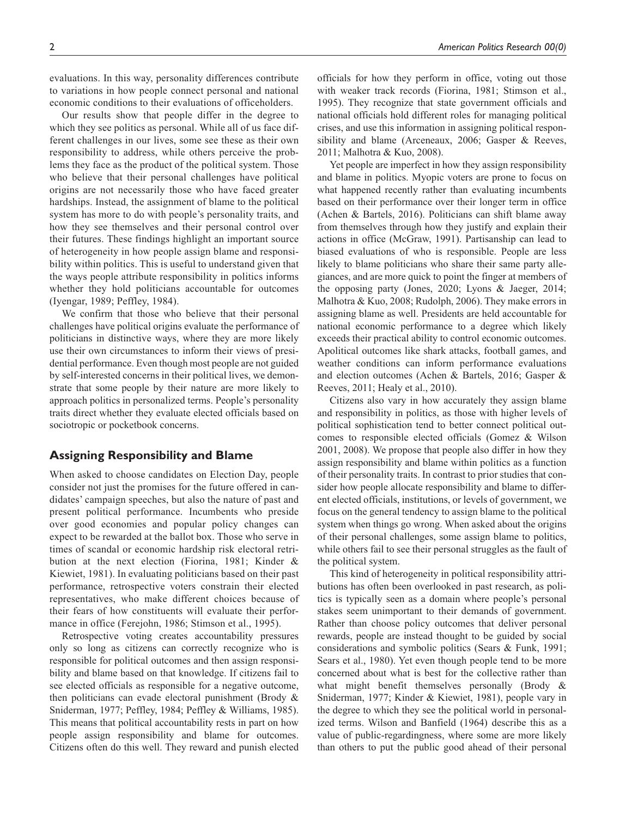evaluations. In this way, personality differences contribute to variations in how people connect personal and national economic conditions to their evaluations of officeholders.

Our results show that people differ in the degree to which they see politics as personal. While all of us face different challenges in our lives, some see these as their own responsibility to address, while others perceive the problems they face as the product of the political system. Those who believe that their personal challenges have political origins are not necessarily those who have faced greater hardships. Instead, the assignment of blame to the political system has more to do with people's personality traits, and how they see themselves and their personal control over their futures. These findings highlight an important source of heterogeneity in how people assign blame and responsibility within politics. This is useful to understand given that the ways people attribute responsibility in politics informs whether they hold politicians accountable for outcomes (Iyengar, 1989; Peffley, 1984).

We confirm that those who believe that their personal challenges have political origins evaluate the performance of politicians in distinctive ways, where they are more likely use their own circumstances to inform their views of presidential performance. Even though most people are not guided by self-interested concerns in their political lives, we demonstrate that some people by their nature are more likely to approach politics in personalized terms. People's personality traits direct whether they evaluate elected officials based on sociotropic or pocketbook concerns.

# **Assigning Responsibility and Blame**

When asked to choose candidates on Election Day, people consider not just the promises for the future offered in candidates' campaign speeches, but also the nature of past and present political performance. Incumbents who preside over good economies and popular policy changes can expect to be rewarded at the ballot box. Those who serve in times of scandal or economic hardship risk electoral retribution at the next election (Fiorina, 1981; Kinder & Kiewiet, 1981). In evaluating politicians based on their past performance, retrospective voters constrain their elected representatives, who make different choices because of their fears of how constituents will evaluate their performance in office (Ferejohn, 1986; Stimson et al., 1995).

Retrospective voting creates accountability pressures only so long as citizens can correctly recognize who is responsible for political outcomes and then assign responsibility and blame based on that knowledge. If citizens fail to see elected officials as responsible for a negative outcome, then politicians can evade electoral punishment (Brody & Sniderman, 1977; Peffley, 1984; Peffley & Williams, 1985). This means that political accountability rests in part on how people assign responsibility and blame for outcomes. Citizens often do this well. They reward and punish elected

officials for how they perform in office, voting out those with weaker track records (Fiorina, 1981; Stimson et al., 1995). They recognize that state government officials and national officials hold different roles for managing political crises, and use this information in assigning political responsibility and blame (Arceneaux, 2006; Gasper & Reeves, 2011; Malhotra & Kuo, 2008).

Yet people are imperfect in how they assign responsibility and blame in politics. Myopic voters are prone to focus on what happened recently rather than evaluating incumbents based on their performance over their longer term in office (Achen & Bartels, 2016). Politicians can shift blame away from themselves through how they justify and explain their actions in office (McGraw, 1991). Partisanship can lead to biased evaluations of who is responsible. People are less likely to blame politicians who share their same party allegiances, and are more quick to point the finger at members of the opposing party (Jones, 2020; Lyons & Jaeger, 2014; Malhotra & Kuo, 2008; Rudolph, 2006). They make errors in assigning blame as well. Presidents are held accountable for national economic performance to a degree which likely exceeds their practical ability to control economic outcomes. Apolitical outcomes like shark attacks, football games, and weather conditions can inform performance evaluations and election outcomes (Achen & Bartels, 2016; Gasper & Reeves, 2011; Healy et al., 2010).

Citizens also vary in how accurately they assign blame and responsibility in politics, as those with higher levels of political sophistication tend to better connect political outcomes to responsible elected officials (Gomez & Wilson 2001, 2008). We propose that people also differ in how they assign responsibility and blame within politics as a function of their personality traits. In contrast to prior studies that consider how people allocate responsibility and blame to different elected officials, institutions, or levels of government, we focus on the general tendency to assign blame to the political system when things go wrong. When asked about the origins of their personal challenges, some assign blame to politics, while others fail to see their personal struggles as the fault of the political system.

This kind of heterogeneity in political responsibility attributions has often been overlooked in past research, as politics is typically seen as a domain where people's personal stakes seem unimportant to their demands of government. Rather than choose policy outcomes that deliver personal rewards, people are instead thought to be guided by social considerations and symbolic politics (Sears & Funk, 1991; Sears et al., 1980). Yet even though people tend to be more concerned about what is best for the collective rather than what might benefit themselves personally (Brody & Sniderman, 1977; Kinder & Kiewiet, 1981), people vary in the degree to which they see the political world in personalized terms. Wilson and Banfield (1964) describe this as a value of public-regardingness, where some are more likely than others to put the public good ahead of their personal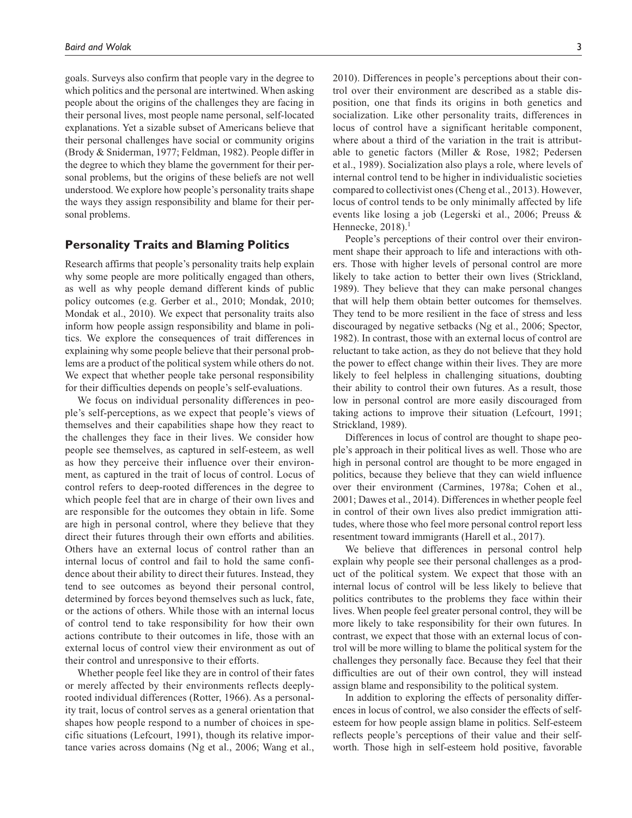goals. Surveys also confirm that people vary in the degree to which politics and the personal are intertwined. When asking people about the origins of the challenges they are facing in their personal lives, most people name personal, self-located explanations. Yet a sizable subset of Americans believe that their personal challenges have social or community origins (Brody & Sniderman, 1977; Feldman, 1982). People differ in the degree to which they blame the government for their personal problems, but the origins of these beliefs are not well understood. We explore how people's personality traits shape the ways they assign responsibility and blame for their personal problems.

# **Personality Traits and Blaming Politics**

Research affirms that people's personality traits help explain why some people are more politically engaged than others, as well as why people demand different kinds of public policy outcomes (e.g. Gerber et al., 2010; Mondak, 2010; Mondak et al., 2010). We expect that personality traits also inform how people assign responsibility and blame in politics. We explore the consequences of trait differences in explaining why some people believe that their personal problems are a product of the political system while others do not. We expect that whether people take personal responsibility for their difficulties depends on people's self-evaluations.

We focus on individual personality differences in people's self-perceptions, as we expect that people's views of themselves and their capabilities shape how they react to the challenges they face in their lives. We consider how people see themselves, as captured in self-esteem, as well as how they perceive their influence over their environment, as captured in the trait of locus of control. Locus of control refers to deep-rooted differences in the degree to which people feel that are in charge of their own lives and are responsible for the outcomes they obtain in life. Some are high in personal control, where they believe that they direct their futures through their own efforts and abilities. Others have an external locus of control rather than an internal locus of control and fail to hold the same confidence about their ability to direct their futures. Instead, they tend to see outcomes as beyond their personal control, determined by forces beyond themselves such as luck, fate, or the actions of others. While those with an internal locus of control tend to take responsibility for how their own actions contribute to their outcomes in life, those with an external locus of control view their environment as out of their control and unresponsive to their efforts.

Whether people feel like they are in control of their fates or merely affected by their environments reflects deeplyrooted individual differences (Rotter, 1966). As a personality trait, locus of control serves as a general orientation that shapes how people respond to a number of choices in specific situations (Lefcourt, 1991), though its relative importance varies across domains (Ng et al., 2006; Wang et al.,

2010). Differences in people's perceptions about their control over their environment are described as a stable disposition, one that finds its origins in both genetics and socialization. Like other personality traits, differences in locus of control have a significant heritable component, where about a third of the variation in the trait is attributable to genetic factors (Miller & Rose, 1982; Pedersen et al., 1989). Socialization also plays a role, where levels of internal control tend to be higher in individualistic societies compared to collectivist ones (Cheng et al., 2013). However, locus of control tends to be only minimally affected by life events like losing a job (Legerski et al., 2006; Preuss & Hennecke, 2018).<sup>1</sup>

People's perceptions of their control over their environment shape their approach to life and interactions with others. Those with higher levels of personal control are more likely to take action to better their own lives (Strickland, 1989). They believe that they can make personal changes that will help them obtain better outcomes for themselves. They tend to be more resilient in the face of stress and less discouraged by negative setbacks (Ng et al., 2006; Spector, 1982). In contrast, those with an external locus of control are reluctant to take action, as they do not believe that they hold the power to effect change within their lives. They are more likely to feel helpless in challenging situations, doubting their ability to control their own futures. As a result, those low in personal control are more easily discouraged from taking actions to improve their situation (Lefcourt, 1991; Strickland, 1989).

Differences in locus of control are thought to shape people's approach in their political lives as well. Those who are high in personal control are thought to be more engaged in politics, because they believe that they can wield influence over their environment (Carmines, 1978a; Cohen et al., 2001; Dawes et al., 2014). Differences in whether people feel in control of their own lives also predict immigration attitudes, where those who feel more personal control report less resentment toward immigrants (Harell et al., 2017).

We believe that differences in personal control help explain why people see their personal challenges as a product of the political system. We expect that those with an internal locus of control will be less likely to believe that politics contributes to the problems they face within their lives. When people feel greater personal control, they will be more likely to take responsibility for their own futures. In contrast, we expect that those with an external locus of control will be more willing to blame the political system for the challenges they personally face. Because they feel that their difficulties are out of their own control, they will instead assign blame and responsibility to the political system.

In addition to exploring the effects of personality differences in locus of control, we also consider the effects of selfesteem for how people assign blame in politics. Self-esteem reflects people's perceptions of their value and their selfworth. Those high in self-esteem hold positive, favorable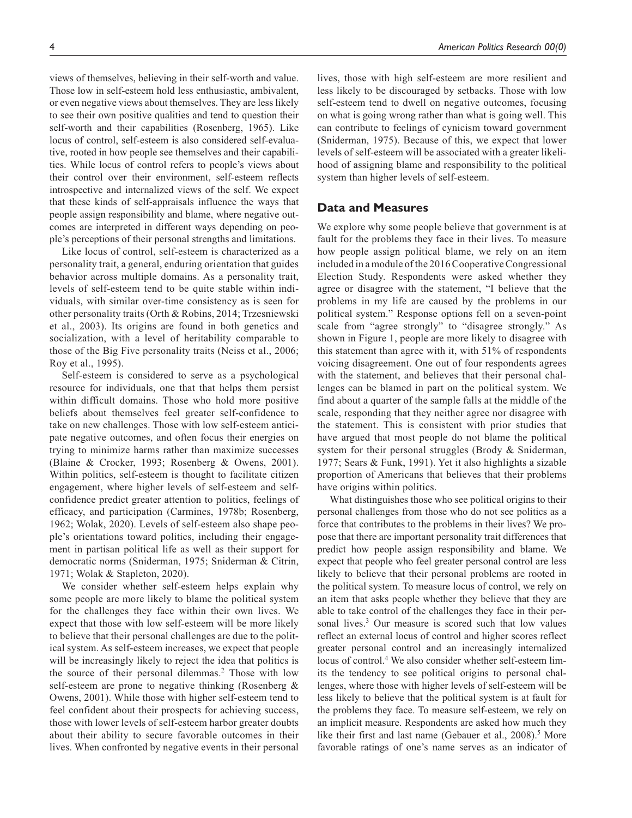views of themselves, believing in their self-worth and value. Those low in self-esteem hold less enthusiastic, ambivalent, or even negative views about themselves. They are less likely to see their own positive qualities and tend to question their self-worth and their capabilities (Rosenberg, 1965). Like locus of control, self-esteem is also considered self-evaluative, rooted in how people see themselves and their capabilities. While locus of control refers to people's views about their control over their environment, self-esteem reflects introspective and internalized views of the self. We expect that these kinds of self-appraisals influence the ways that people assign responsibility and blame, where negative outcomes are interpreted in different ways depending on people's perceptions of their personal strengths and limitations.

Like locus of control, self-esteem is characterized as a personality trait, a general, enduring orientation that guides behavior across multiple domains. As a personality trait, levels of self-esteem tend to be quite stable within individuals, with similar over-time consistency as is seen for other personality traits (Orth & Robins, 2014; Trzesniewski et al., 2003). Its origins are found in both genetics and socialization, with a level of heritability comparable to those of the Big Five personality traits (Neiss et al., 2006; Roy et al., 1995).

Self-esteem is considered to serve as a psychological resource for individuals, one that that helps them persist within difficult domains. Those who hold more positive beliefs about themselves feel greater self-confidence to take on new challenges. Those with low self-esteem anticipate negative outcomes, and often focus their energies on trying to minimize harms rather than maximize successes (Blaine & Crocker, 1993; Rosenberg & Owens, 2001). Within politics, self-esteem is thought to facilitate citizen engagement, where higher levels of self-esteem and selfconfidence predict greater attention to politics, feelings of efficacy, and participation (Carmines, 1978b; Rosenberg, 1962; Wolak, 2020). Levels of self-esteem also shape people's orientations toward politics, including their engagement in partisan political life as well as their support for democratic norms (Sniderman, 1975; Sniderman & Citrin, 1971; Wolak & Stapleton, 2020).

We consider whether self-esteem helps explain why some people are more likely to blame the political system for the challenges they face within their own lives. We expect that those with low self-esteem will be more likely to believe that their personal challenges are due to the political system. As self-esteem increases, we expect that people will be increasingly likely to reject the idea that politics is the source of their personal dilemmas.<sup>2</sup> Those with low self-esteem are prone to negative thinking (Rosenberg & Owens, 2001). While those with higher self-esteem tend to feel confident about their prospects for achieving success, those with lower levels of self-esteem harbor greater doubts about their ability to secure favorable outcomes in their lives. When confronted by negative events in their personal

lives, those with high self-esteem are more resilient and less likely to be discouraged by setbacks. Those with low self-esteem tend to dwell on negative outcomes, focusing on what is going wrong rather than what is going well. This can contribute to feelings of cynicism toward government (Sniderman, 1975). Because of this, we expect that lower levels of self-esteem will be associated with a greater likelihood of assigning blame and responsibility to the political system than higher levels of self-esteem.

# **Data and Measures**

We explore why some people believe that government is at fault for the problems they face in their lives. To measure how people assign political blame, we rely on an item included in a module of the 2016 Cooperative Congressional Election Study. Respondents were asked whether they agree or disagree with the statement, "I believe that the problems in my life are caused by the problems in our political system." Response options fell on a seven-point scale from "agree strongly" to "disagree strongly." As shown in Figure 1, people are more likely to disagree with this statement than agree with it, with 51% of respondents voicing disagreement. One out of four respondents agrees with the statement, and believes that their personal challenges can be blamed in part on the political system. We find about a quarter of the sample falls at the middle of the scale, responding that they neither agree nor disagree with the statement. This is consistent with prior studies that have argued that most people do not blame the political system for their personal struggles (Brody & Sniderman, 1977; Sears & Funk, 1991). Yet it also highlights a sizable proportion of Americans that believes that their problems have origins within politics.

What distinguishes those who see political origins to their personal challenges from those who do not see politics as a force that contributes to the problems in their lives? We propose that there are important personality trait differences that predict how people assign responsibility and blame. We expect that people who feel greater personal control are less likely to believe that their personal problems are rooted in the political system. To measure locus of control, we rely on an item that asks people whether they believe that they are able to take control of the challenges they face in their personal lives.<sup>3</sup> Our measure is scored such that low values reflect an external locus of control and higher scores reflect greater personal control and an increasingly internalized locus of control.4 We also consider whether self-esteem limits the tendency to see political origins to personal challenges, where those with higher levels of self-esteem will be less likely to believe that the political system is at fault for the problems they face. To measure self-esteem, we rely on an implicit measure. Respondents are asked how much they like their first and last name (Gebauer et al., 2008).<sup>5</sup> More favorable ratings of one's name serves as an indicator of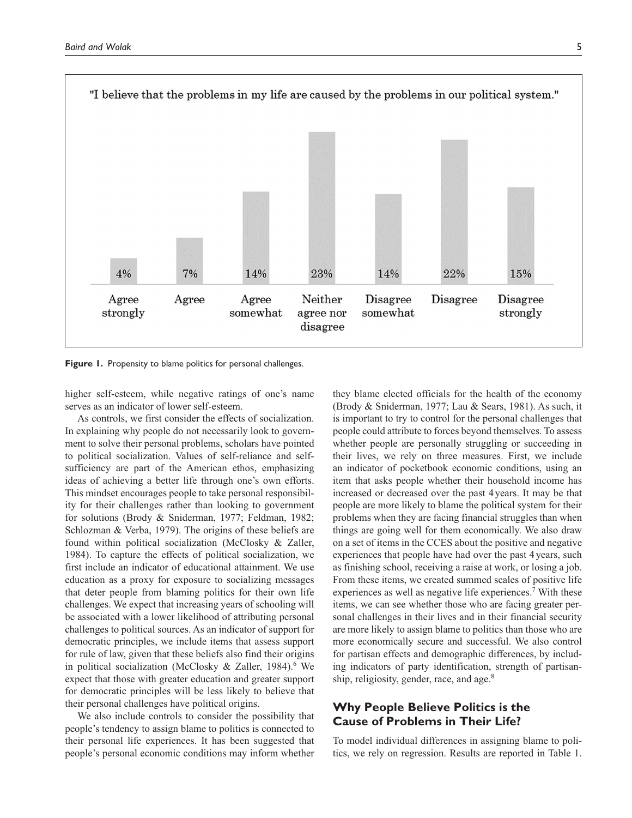

**Figure 1.** Propensity to blame politics for personal challenges.

higher self-esteem, while negative ratings of one's name serves as an indicator of lower self-esteem.

As controls, we first consider the effects of socialization. In explaining why people do not necessarily look to government to solve their personal problems, scholars have pointed to political socialization. Values of self-reliance and selfsufficiency are part of the American ethos, emphasizing ideas of achieving a better life through one's own efforts. This mindset encourages people to take personal responsibility for their challenges rather than looking to government for solutions (Brody & Sniderman, 1977; Feldman, 1982; Schlozman & Verba, 1979). The origins of these beliefs are found within political socialization (McClosky & Zaller, 1984). To capture the effects of political socialization, we first include an indicator of educational attainment. We use education as a proxy for exposure to socializing messages that deter people from blaming politics for their own life challenges. We expect that increasing years of schooling will be associated with a lower likelihood of attributing personal challenges to political sources. As an indicator of support for democratic principles, we include items that assess support for rule of law, given that these beliefs also find their origins in political socialization (McClosky & Zaller, 1984).<sup>6</sup> We expect that those with greater education and greater support for democratic principles will be less likely to believe that their personal challenges have political origins.

We also include controls to consider the possibility that people's tendency to assign blame to politics is connected to their personal life experiences. It has been suggested that people's personal economic conditions may inform whether they blame elected officials for the health of the economy (Brody & Sniderman, 1977; Lau & Sears, 1981). As such, it is important to try to control for the personal challenges that people could attribute to forces beyond themselves. To assess whether people are personally struggling or succeeding in their lives, we rely on three measures. First, we include an indicator of pocketbook economic conditions, using an item that asks people whether their household income has increased or decreased over the past 4years. It may be that people are more likely to blame the political system for their problems when they are facing financial struggles than when things are going well for them economically. We also draw on a set of items in the CCES about the positive and negative experiences that people have had over the past 4 years, such as finishing school, receiving a raise at work, or losing a job. From these items, we created summed scales of positive life experiences as well as negative life experiences.<sup>7</sup> With these items, we can see whether those who are facing greater personal challenges in their lives and in their financial security are more likely to assign blame to politics than those who are more economically secure and successful. We also control for partisan effects and demographic differences, by including indicators of party identification, strength of partisanship, religiosity, gender, race, and age.<sup>8</sup>

# **Why People Believe Politics is the Cause of Problems in Their Life?**

To model individual differences in assigning blame to politics, we rely on regression. Results are reported in Table 1.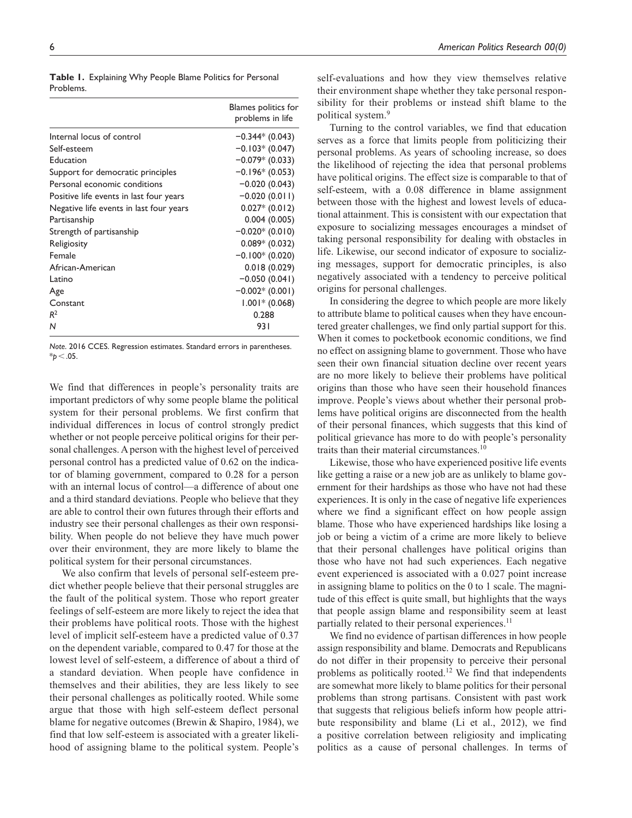|           |  | Table I. Explaining Why People Blame Politics for Personal |  |
|-----------|--|------------------------------------------------------------|--|
| Problems. |  |                                                            |  |

|                                         | Blames politics for<br>problems in life |
|-----------------------------------------|-----------------------------------------|
| Internal locus of control               | $-0.344*(0.043)$                        |
| Self-esteem                             | $-0.103*(0.047)$                        |
| Education                               | $-0.079*$ (0.033)                       |
| Support for democratic principles       | $-0.196*(0.053)$                        |
| Personal economic conditions            | $-0.020(0.043)$                         |
| Positive life events in last four years | $-0.020(0.011)$                         |
| Negative life events in last four years | $0.027*$ (0.012)                        |
| Partisanship                            | 0.004(0.005)                            |
| Strength of partisanship                | $-0.020*(0.010)$                        |
| Religiosity                             | $0.089*$ (0.032)                        |
| Female                                  | $-0.100*(0.020)$                        |
| African-American                        | 0.018(0.029)                            |
| Latino                                  | $-0.050(0.041)$                         |
| Age                                     | $-0.002*(0.001)$                        |
| Constant                                | $1.001*$ (0.068)                        |
| R <sup>2</sup>                          | 0.288                                   |
| N                                       | 931                                     |

*Note*. 2016 CCES. Regression estimates. Standard errors in parentheses. \**p*<.05.

We find that differences in people's personality traits are important predictors of why some people blame the political system for their personal problems. We first confirm that individual differences in locus of control strongly predict whether or not people perceive political origins for their personal challenges. A person with the highest level of perceived personal control has a predicted value of 0.62 on the indicator of blaming government, compared to 0.28 for a person with an internal locus of control—a difference of about one and a third standard deviations. People who believe that they are able to control their own futures through their efforts and industry see their personal challenges as their own responsibility. When people do not believe they have much power over their environment, they are more likely to blame the political system for their personal circumstances.

We also confirm that levels of personal self-esteem predict whether people believe that their personal struggles are the fault of the political system. Those who report greater feelings of self-esteem are more likely to reject the idea that their problems have political roots. Those with the highest level of implicit self-esteem have a predicted value of 0.37 on the dependent variable, compared to 0.47 for those at the lowest level of self-esteem, a difference of about a third of a standard deviation. When people have confidence in themselves and their abilities, they are less likely to see their personal challenges as politically rooted. While some argue that those with high self-esteem deflect personal blame for negative outcomes (Brewin & Shapiro, 1984), we find that low self-esteem is associated with a greater likelihood of assigning blame to the political system. People's

self-evaluations and how they view themselves relative their environment shape whether they take personal responsibility for their problems or instead shift blame to the political system.9

Turning to the control variables, we find that education serves as a force that limits people from politicizing their personal problems. As years of schooling increase, so does the likelihood of rejecting the idea that personal problems have political origins. The effect size is comparable to that of self-esteem, with a 0.08 difference in blame assignment between those with the highest and lowest levels of educational attainment. This is consistent with our expectation that exposure to socializing messages encourages a mindset of taking personal responsibility for dealing with obstacles in life. Likewise, our second indicator of exposure to socializing messages, support for democratic principles, is also negatively associated with a tendency to perceive political origins for personal challenges.

In considering the degree to which people are more likely to attribute blame to political causes when they have encountered greater challenges, we find only partial support for this. When it comes to pocketbook economic conditions, we find no effect on assigning blame to government. Those who have seen their own financial situation decline over recent years are no more likely to believe their problems have political origins than those who have seen their household finances improve. People's views about whether their personal problems have political origins are disconnected from the health of their personal finances, which suggests that this kind of political grievance has more to do with people's personality traits than their material circumstances.10

Likewise, those who have experienced positive life events like getting a raise or a new job are as unlikely to blame government for their hardships as those who have not had these experiences. It is only in the case of negative life experiences where we find a significant effect on how people assign blame. Those who have experienced hardships like losing a job or being a victim of a crime are more likely to believe that their personal challenges have political origins than those who have not had such experiences. Each negative event experienced is associated with a 0.027 point increase in assigning blame to politics on the 0 to 1 scale. The magnitude of this effect is quite small, but highlights that the ways that people assign blame and responsibility seem at least partially related to their personal experiences.<sup>11</sup>

We find no evidence of partisan differences in how people assign responsibility and blame. Democrats and Republicans do not differ in their propensity to perceive their personal problems as politically rooted.<sup>12</sup> We find that independents are somewhat more likely to blame politics for their personal problems than strong partisans. Consistent with past work that suggests that religious beliefs inform how people attribute responsibility and blame (Li et al., 2012), we find a positive correlation between religiosity and implicating politics as a cause of personal challenges. In terms of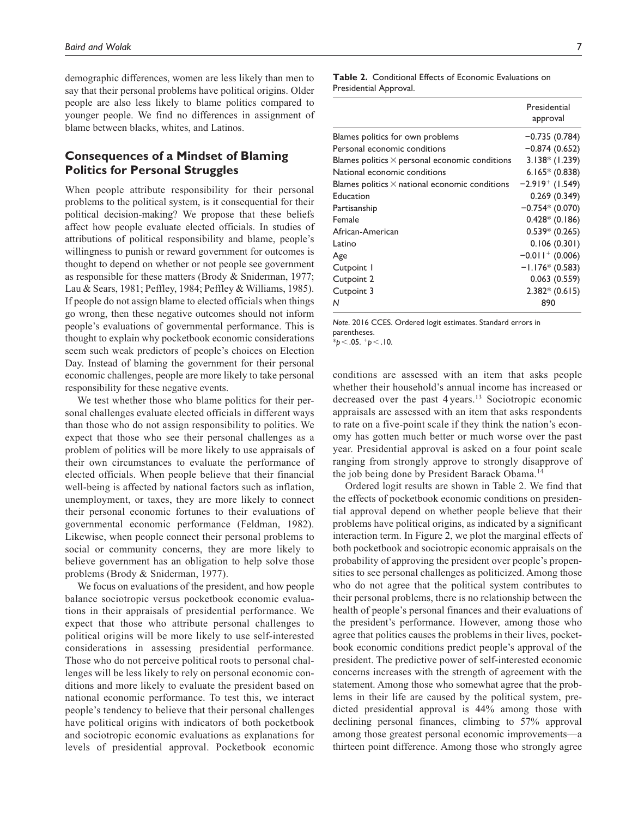demographic differences, women are less likely than men to say that their personal problems have political origins. Older people are also less likely to blame politics compared to younger people. We find no differences in assignment of blame between blacks, whites, and Latinos.

# **Consequences of a Mindset of Blaming Politics for Personal Struggles**

When people attribute responsibility for their personal problems to the political system, is it consequential for their political decision-making? We propose that these beliefs affect how people evaluate elected officials. In studies of attributions of political responsibility and blame, people's willingness to punish or reward government for outcomes is thought to depend on whether or not people see government as responsible for these matters (Brody & Sniderman, 1977; Lau & Sears, 1981; Peffley, 1984; Peffley & Williams, 1985). If people do not assign blame to elected officials when things go wrong, then these negative outcomes should not inform people's evaluations of governmental performance. This is thought to explain why pocketbook economic considerations seem such weak predictors of people's choices on Election Day. Instead of blaming the government for their personal economic challenges, people are more likely to take personal responsibility for these negative events.

We test whether those who blame politics for their personal challenges evaluate elected officials in different ways than those who do not assign responsibility to politics. We expect that those who see their personal challenges as a problem of politics will be more likely to use appraisals of their own circumstances to evaluate the performance of elected officials. When people believe that their financial well-being is affected by national factors such as inflation, unemployment, or taxes, they are more likely to connect their personal economic fortunes to their evaluations of governmental economic performance (Feldman, 1982). Likewise, when people connect their personal problems to social or community concerns, they are more likely to believe government has an obligation to help solve those problems (Brody & Sniderman, 1977).

We focus on evaluations of the president, and how people balance sociotropic versus pocketbook economic evaluations in their appraisals of presidential performance. We expect that those who attribute personal challenges to political origins will be more likely to use self-interested considerations in assessing presidential performance. Those who do not perceive political roots to personal challenges will be less likely to rely on personal economic conditions and more likely to evaluate the president based on national economic performance. To test this, we interact people's tendency to believe that their personal challenges have political origins with indicators of both pocketbook and sociotropic economic evaluations as explanations for levels of presidential approval. Pocketbook economic

**Table 2.** Conditional Effects of Economic Evaluations on Presidential Approval.

|                                                       | Presidential<br>approval      |
|-------------------------------------------------------|-------------------------------|
| Blames politics for own problems                      | $-0.735(0.784)$               |
| Personal economic conditions                          | $-0.874(0.652)$               |
| Blames politics $\times$ personal economic conditions | $3.138*(1.239)$               |
| National economic conditions                          | $6.165* (0.838)$              |
| Blames politics $\times$ national economic conditions | $-2.919$ <sup>+</sup> (1.549) |
| Education                                             | 0.269(0.349)                  |
| Partisanship                                          | $-0.754*(0.070)$              |
| Female                                                | $0.428*$ (0.186)              |
| African-American                                      | $0.539* (0.265)$              |
| Latino                                                | 0.106(0.301)                  |
| Age                                                   | $-0.011$ <sup>+</sup> (0.006) |
| Cutpoint I                                            | $-1.176*(0.583)$              |
| Cutpoint 2                                            | 0.063(0.559)                  |
| Cutpoint 3                                            | $2.382* (0.615)$              |
| N                                                     | 890                           |

*Note*. 2016 CCES. Ordered logit estimates. Standard errors in parentheses.

\**p*<.05. +*p*<.10.

conditions are assessed with an item that asks people whether their household's annual income has increased or decreased over the past 4 years.<sup>13</sup> Sociotropic economic appraisals are assessed with an item that asks respondents to rate on a five-point scale if they think the nation's economy has gotten much better or much worse over the past year. Presidential approval is asked on a four point scale ranging from strongly approve to strongly disapprove of the job being done by President Barack Obama.14

Ordered logit results are shown in Table 2. We find that the effects of pocketbook economic conditions on presidential approval depend on whether people believe that their problems have political origins, as indicated by a significant interaction term. In Figure 2, we plot the marginal effects of both pocketbook and sociotropic economic appraisals on the probability of approving the president over people's propensities to see personal challenges as politicized. Among those who do not agree that the political system contributes to their personal problems, there is no relationship between the health of people's personal finances and their evaluations of the president's performance. However, among those who agree that politics causes the problems in their lives, pocketbook economic conditions predict people's approval of the president. The predictive power of self-interested economic concerns increases with the strength of agreement with the statement. Among those who somewhat agree that the problems in their life are caused by the political system, predicted presidential approval is 44% among those with declining personal finances, climbing to 57% approval among those greatest personal economic improvements—a thirteen point difference. Among those who strongly agree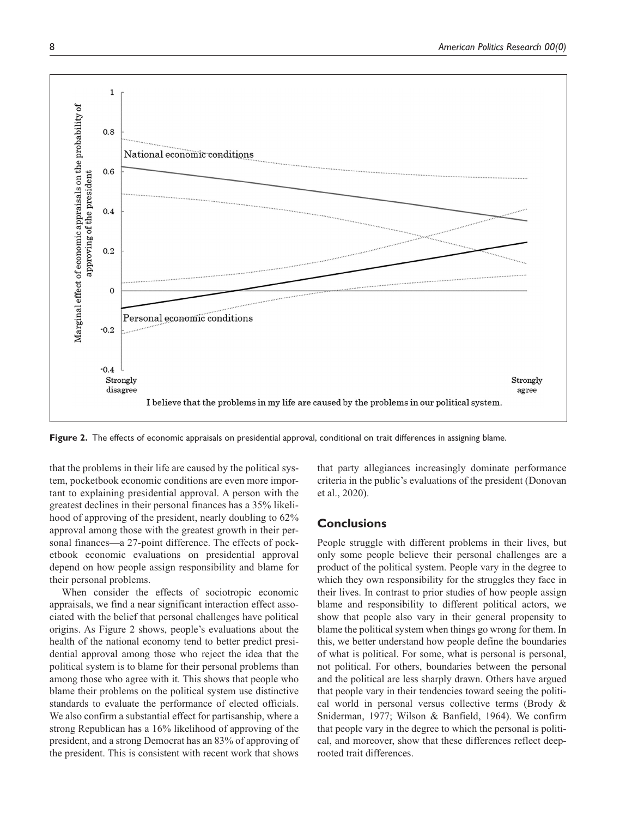

Figure 2. The effects of economic appraisals on presidential approval, conditional on trait differences in assigning blame.

that the problems in their life are caused by the political system, pocketbook economic conditions are even more important to explaining presidential approval. A person with the greatest declines in their personal finances has a 35% likelihood of approving of the president, nearly doubling to 62% approval among those with the greatest growth in their personal finances—a 27-point difference. The effects of pocketbook economic evaluations on presidential approval depend on how people assign responsibility and blame for their personal problems.

When consider the effects of sociotropic economic appraisals, we find a near significant interaction effect associated with the belief that personal challenges have political origins. As Figure 2 shows, people's evaluations about the health of the national economy tend to better predict presidential approval among those who reject the idea that the political system is to blame for their personal problems than among those who agree with it. This shows that people who blame their problems on the political system use distinctive standards to evaluate the performance of elected officials. We also confirm a substantial effect for partisanship, where a strong Republican has a 16% likelihood of approving of the president, and a strong Democrat has an 83% of approving of the president. This is consistent with recent work that shows

that party allegiances increasingly dominate performance criteria in the public's evaluations of the president (Donovan et al., 2020).

# **Conclusions**

People struggle with different problems in their lives, but only some people believe their personal challenges are a product of the political system. People vary in the degree to which they own responsibility for the struggles they face in their lives. In contrast to prior studies of how people assign blame and responsibility to different political actors, we show that people also vary in their general propensity to blame the political system when things go wrong for them. In this, we better understand how people define the boundaries of what is political. For some, what is personal is personal, not political. For others, boundaries between the personal and the political are less sharply drawn. Others have argued that people vary in their tendencies toward seeing the political world in personal versus collective terms (Brody & Sniderman, 1977; Wilson & Banfield, 1964). We confirm that people vary in the degree to which the personal is political, and moreover, show that these differences reflect deeprooted trait differences.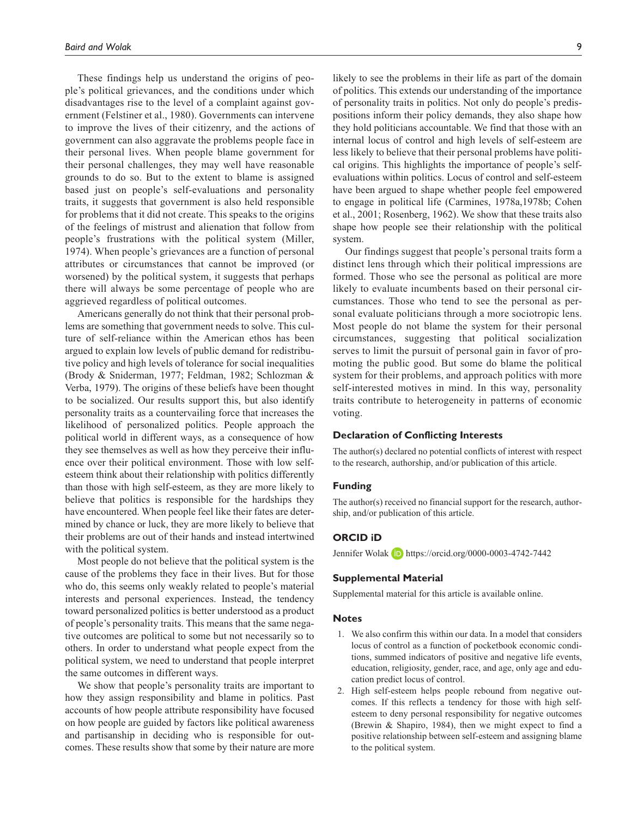These findings help us understand the origins of people's political grievances, and the conditions under which disadvantages rise to the level of a complaint against government (Felstiner et al., 1980). Governments can intervene to improve the lives of their citizenry, and the actions of government can also aggravate the problems people face in their personal lives. When people blame government for their personal challenges, they may well have reasonable grounds to do so. But to the extent to blame is assigned based just on people's self-evaluations and personality traits, it suggests that government is also held responsible for problems that it did not create. This speaks to the origins of the feelings of mistrust and alienation that follow from people's frustrations with the political system (Miller, 1974). When people's grievances are a function of personal attributes or circumstances that cannot be improved (or worsened) by the political system, it suggests that perhaps there will always be some percentage of people who are aggrieved regardless of political outcomes.

Americans generally do not think that their personal problems are something that government needs to solve. This culture of self-reliance within the American ethos has been argued to explain low levels of public demand for redistributive policy and high levels of tolerance for social inequalities (Brody & Sniderman, 1977; Feldman, 1982; Schlozman & Verba, 1979). The origins of these beliefs have been thought to be socialized. Our results support this, but also identify personality traits as a countervailing force that increases the likelihood of personalized politics. People approach the political world in different ways, as a consequence of how they see themselves as well as how they perceive their influence over their political environment. Those with low selfesteem think about their relationship with politics differently than those with high self-esteem, as they are more likely to believe that politics is responsible for the hardships they have encountered. When people feel like their fates are determined by chance or luck, they are more likely to believe that their problems are out of their hands and instead intertwined with the political system.

Most people do not believe that the political system is the cause of the problems they face in their lives. But for those who do, this seems only weakly related to people's material interests and personal experiences. Instead, the tendency toward personalized politics is better understood as a product of people's personality traits. This means that the same negative outcomes are political to some but not necessarily so to others. In order to understand what people expect from the political system, we need to understand that people interpret the same outcomes in different ways.

We show that people's personality traits are important to how they assign responsibility and blame in politics. Past accounts of how people attribute responsibility have focused on how people are guided by factors like political awareness and partisanship in deciding who is responsible for outcomes. These results show that some by their nature are more likely to see the problems in their life as part of the domain of politics. This extends our understanding of the importance of personality traits in politics. Not only do people's predispositions inform their policy demands, they also shape how they hold politicians accountable. We find that those with an internal locus of control and high levels of self-esteem are less likely to believe that their personal problems have political origins. This highlights the importance of people's selfevaluations within politics. Locus of control and self-esteem have been argued to shape whether people feel empowered to engage in political life (Carmines, 1978a,1978b; Cohen et al., 2001; Rosenberg, 1962). We show that these traits also shape how people see their relationship with the political system.

Our findings suggest that people's personal traits form a distinct lens through which their political impressions are formed. Those who see the personal as political are more likely to evaluate incumbents based on their personal circumstances. Those who tend to see the personal as personal evaluate politicians through a more sociotropic lens. Most people do not blame the system for their personal circumstances, suggesting that political socialization serves to limit the pursuit of personal gain in favor of promoting the public good. But some do blame the political system for their problems, and approach politics with more self-interested motives in mind. In this way, personality traits contribute to heterogeneity in patterns of economic voting.

## **Declaration of Conflicting Interests**

The author(s) declared no potential conflicts of interest with respect to the research, authorship, and/or publication of this article.

#### **Funding**

The author(s) received no financial support for the research, authorship, and/or publication of this article.

# **ORCID iD**

Jennifer Wolak **D** <https://orcid.org/0000-0003-4742-7442>

# **Supplemental Material**

Supplemental material for this article is available online.

#### **Notes**

- 1. We also confirm this within our data. In a model that considers locus of control as a function of pocketbook economic conditions, summed indicators of positive and negative life events, education, religiosity, gender, race, and age, only age and education predict locus of control.
- 2. High self-esteem helps people rebound from negative outcomes. If this reflects a tendency for those with high selfesteem to deny personal responsibility for negative outcomes (Brewin & Shapiro, 1984), then we might expect to find a positive relationship between self-esteem and assigning blame to the political system.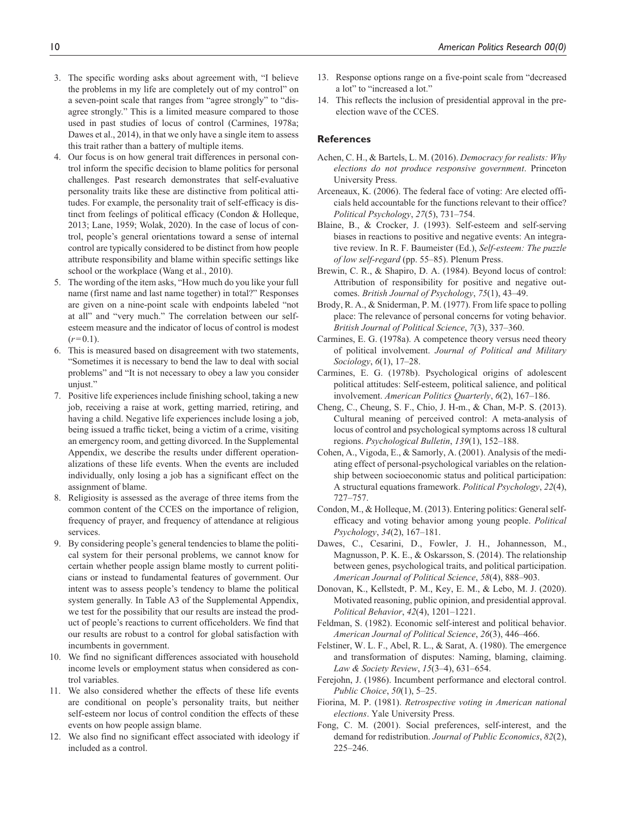- 3. The specific wording asks about agreement with, "I believe the problems in my life are completely out of my control" on a seven-point scale that ranges from "agree strongly" to "disagree strongly." This is a limited measure compared to those used in past studies of locus of control (Carmines, 1978a; Dawes et al., 2014), in that we only have a single item to assess this trait rather than a battery of multiple items.
- 4. Our focus is on how general trait differences in personal control inform the specific decision to blame politics for personal challenges. Past research demonstrates that self-evaluative personality traits like these are distinctive from political attitudes. For example, the personality trait of self-efficacy is distinct from feelings of political efficacy (Condon & Holleque, 2013; Lane, 1959; Wolak, 2020). In the case of locus of control, people's general orientations toward a sense of internal control are typically considered to be distinct from how people attribute responsibility and blame within specific settings like school or the workplace (Wang et al., 2010).
- 5. The wording of the item asks, "How much do you like your full name (first name and last name together) in total?" Responses are given on a nine-point scale with endpoints labeled "not at all" and "very much." The correlation between our selfesteem measure and the indicator of locus of control is modest  $(r=0.1)$ .
- 6. This is measured based on disagreement with two statements, "Sometimes it is necessary to bend the law to deal with social problems" and "It is not necessary to obey a law you consider unjust."
- 7. Positive life experiences include finishing school, taking a new job, receiving a raise at work, getting married, retiring, and having a child. Negative life experiences include losing a job, being issued a traffic ticket, being a victim of a crime, visiting an emergency room, and getting divorced. In the Supplemental Appendix, we describe the results under different operationalizations of these life events. When the events are included individually, only losing a job has a significant effect on the assignment of blame.
- 8. Religiosity is assessed as the average of three items from the common content of the CCES on the importance of religion, frequency of prayer, and frequency of attendance at religious services.
- 9. By considering people's general tendencies to blame the political system for their personal problems, we cannot know for certain whether people assign blame mostly to current politicians or instead to fundamental features of government. Our intent was to assess people's tendency to blame the political system generally. In Table A3 of the Supplemental Appendix, we test for the possibility that our results are instead the product of people's reactions to current officeholders. We find that our results are robust to a control for global satisfaction with incumbents in government.
- 10. We find no significant differences associated with household income levels or employment status when considered as control variables.
- 11. We also considered whether the effects of these life events are conditional on people's personality traits, but neither self-esteem nor locus of control condition the effects of these events on how people assign blame.
- 12. We also find no significant effect associated with ideology if included as a control.
- 13. Response options range on a five-point scale from "decreased a lot" to "increased a lot."
- 14. This reflects the inclusion of presidential approval in the preelection wave of the CCES.

# **References**

- Achen, C. H., & Bartels, L. M. (2016). *Democracy for realists: Why elections do not produce responsive government*. Princeton University Press.
- Arceneaux, K. (2006). The federal face of voting: Are elected officials held accountable for the functions relevant to their office? *Political Psychology*, *27*(5), 731–754.
- Blaine, B., & Crocker, J. (1993). Self-esteem and self-serving biases in reactions to positive and negative events: An integrative review. In R. F. Baumeister (Ed.), *Self-esteem: The puzzle of low self-regard* (pp. 55–85). Plenum Press.
- Brewin, C. R., & Shapiro, D. A. (1984). Beyond locus of control: Attribution of responsibility for positive and negative outcomes. *British Journal of Psychology*, *75*(1), 43–49.
- Brody, R. A., & Sniderman, P. M. (1977). From life space to polling place: The relevance of personal concerns for voting behavior. *British Journal of Political Science*, *7*(3), 337–360.
- Carmines, E. G. (1978a). A competence theory versus need theory of political involvement. *Journal of Political and Military Sociology*, *6*(1), 17–28.
- Carmines, E. G. (1978b). Psychological origins of adolescent political attitudes: Self-esteem, political salience, and political involvement. *American Politics Quarterly*, *6*(2), 167–186.
- Cheng, C., Cheung, S. F., Chio, J. H-m., & Chan, M-P. S. (2013). Cultural meaning of perceived control: A meta-analysis of locus of control and psychological symptoms across 18 cultural regions. *Psychological Bulletin*, *139*(1), 152–188.
- Cohen, A., Vigoda, E., & Samorly, A. (2001). Analysis of the mediating effect of personal-psychological variables on the relationship between socioeconomic status and political participation: A structural equations framework. *Political Psychology*, *22*(4), 727–757.
- Condon, M., & Holleque, M. (2013). Entering politics: General selfefficacy and voting behavior among young people. *Political Psychology*, *34*(2), 167–181.
- Dawes, C., Cesarini, D., Fowler, J. H., Johannesson, M., Magnusson, P. K. E., & Oskarsson, S. (2014). The relationship between genes, psychological traits, and political participation. *American Journal of Political Science*, *58*(4), 888–903.
- Donovan, K., Kellstedt, P. M., Key, E. M., & Lebo, M. J. (2020). Motivated reasoning, public opinion, and presidential approval. *Political Behavior*, *42*(4), 1201–1221.
- Feldman, S. (1982). Economic self-interest and political behavior. *American Journal of Political Science*, *26*(3), 446–466.
- Felstiner, W. L. F., Abel, R. L., & Sarat, A. (1980). The emergence and transformation of disputes: Naming, blaming, claiming. *Law & Society Review*, *15*(3–4), 631–654.
- Ferejohn, J. (1986). Incumbent performance and electoral control. *Public Choice*, *50*(1), 5–25.
- Fiorina, M. P. (1981). *Retrospective voting in American national elections*. Yale University Press.
- Fong, C. M. (2001). Social preferences, self-interest, and the demand for redistribution. *Journal of Public Economics*, *82*(2), 225–246.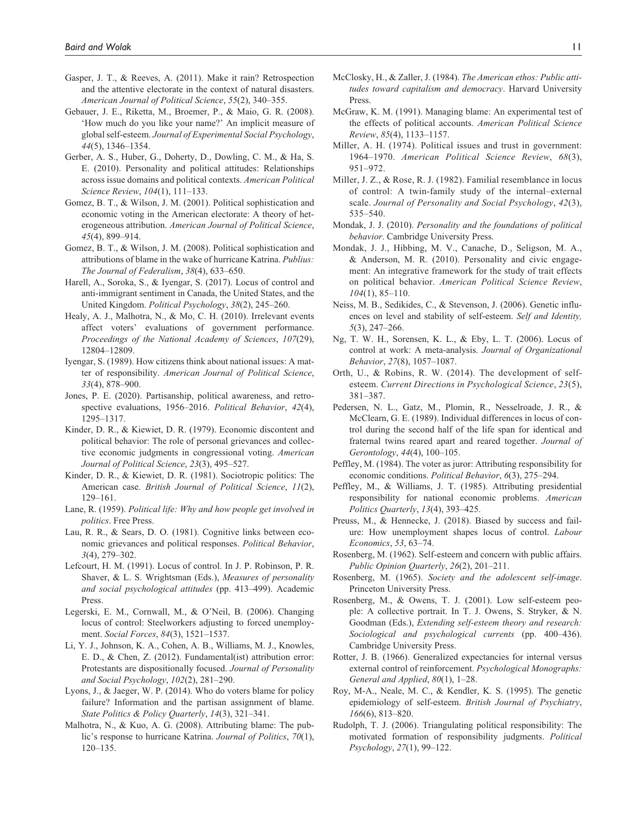- Gasper, J. T., & Reeves, A. (2011). Make it rain? Retrospection and the attentive electorate in the context of natural disasters. *American Journal of Political Science*, *55*(2), 340–355.
- Gebauer, J. E., Riketta, M., Broemer, P., & Maio, G. R. (2008). 'How much do you like your name?' An implicit measure of global self-esteem. *Journal of Experimental Social Psychology*, *44*(5), 1346–1354.
- Gerber, A. S., Huber, G., Doherty, D., Dowling, C. M., & Ha, S. E. (2010). Personality and political attitudes: Relationships across issue domains and political contexts. *American Political Science Review*, *104*(1), 111–133.
- Gomez, B. T., & Wilson, J. M. (2001). Political sophistication and economic voting in the American electorate: A theory of heterogeneous attribution. *American Journal of Political Science*, *45*(4), 899–914.
- Gomez, B. T., & Wilson, J. M. (2008). Political sophistication and attributions of blame in the wake of hurricane Katrina. *Publius: The Journal of Federalism*, *38*(4), 633–650.
- Harell, A., Soroka, S., & Iyengar, S. (2017). Locus of control and anti-immigrant sentiment in Canada, the United States, and the United Kingdom. *Political Psychology*, *38*(2), 245–260.
- Healy, A. J., Malhotra, N., & Mo, C. H. (2010). Irrelevant events affect voters' evaluations of government performance. *Proceedings of the National Academy of Sciences*, *107*(29), 12804–12809.
- Iyengar, S. (1989). How citizens think about national issues: A matter of responsibility. *American Journal of Political Science*, *33*(4), 878–900.
- Jones, P. E. (2020). Partisanship, political awareness, and retrospective evaluations, 1956–2016. *Political Behavior*, *42*(4), 1295–1317.
- Kinder, D. R., & Kiewiet, D. R. (1979). Economic discontent and political behavior: The role of personal grievances and collective economic judgments in congressional voting. *American Journal of Political Science*, *23*(3), 495–527.
- Kinder, D. R., & Kiewiet, D. R. (1981). Sociotropic politics: The American case. *British Journal of Political Science*, *11*(2), 129–161.
- Lane, R. (1959). *Political life: Why and how people get involved in politics*. Free Press.
- Lau, R. R., & Sears, D. O. (1981). Cognitive links between economic grievances and political responses. *Political Behavior*, *3*(4), 279–302.
- Lefcourt, H. M. (1991). Locus of control. In J. P. Robinson, P. R. Shaver, & L. S. Wrightsman (Eds.), *Measures of personality and social psychological attitudes* (pp. 413–499). Academic Press.
- Legerski, E. M., Cornwall, M., & O'Neil, B. (2006). Changing locus of control: Steelworkers adjusting to forced unemployment. *Social Forces*, *84*(3), 1521–1537.
- Li, Y. J., Johnson, K. A., Cohen, A. B., Williams, M. J., Knowles, E. D., & Chen, Z. (2012). Fundamental(ist) attribution error: Protestants are dispositionally focused. *Journal of Personality and Social Psychology*, *102*(2), 281–290.
- Lyons, J., & Jaeger, W. P. (2014). Who do voters blame for policy failure? Information and the partisan assignment of blame. *State Politics & Policy Quarterly*, *14*(3), 321–341.
- Malhotra, N., & Kuo, A. G. (2008). Attributing blame: The public's response to hurricane Katrina. *Journal of Politics*, *70*(1), 120–135.
- McClosky, H., & Zaller, J. (1984). *The American ethos: Public attitudes toward capitalism and democracy*. Harvard University Press.
- McGraw, K. M. (1991). Managing blame: An experimental test of the effects of political accounts. *American Political Science Review*, *85*(4), 1133–1157.
- Miller, A. H. (1974). Political issues and trust in government: 1964–1970. *American Political Science Review*, *68*(3), 951–972.
- Miller, J. Z., & Rose, R. J. (1982). Familial resemblance in locus of control: A twin-family study of the internal–external scale. *Journal of Personality and Social Psychology*, *42*(3), 535–540.
- Mondak, J. J. (2010). *Personality and the foundations of political behavior*. Cambridge University Press.
- Mondak, J. J., Hibbing, M. V., Canache, D., Seligson, M. A., & Anderson, M. R. (2010). Personality and civic engagement: An integrative framework for the study of trait effects on political behavior. *American Political Science Review*, *104*(1), 85–110.
- Neiss, M. B., Sedikides, C., & Stevenson, J. (2006). Genetic influences on level and stability of self-esteem. *Self and Identity, 5*(3), 247–266.
- Ng, T. W. H., Sorensen, K. L., & Eby, L. T. (2006). Locus of control at work: A meta-analysis. *Journal of Organizational Behavior*, *27*(8), 1057–1087.
- Orth, U., & Robins, R. W. (2014). The development of selfesteem. *Current Directions in Psychological Science*, *23*(5), 381–387.
- Pedersen, N. L., Gatz, M., Plomin, R., Nesselroade, J. R., & McClearn, G. E. (1989). Individual differences in locus of control during the second half of the life span for identical and fraternal twins reared apart and reared together. *Journal of Gerontology*, *44*(4), 100–105.
- Peffley, M. (1984). The voter as juror: Attributing responsibility for economic conditions. *Political Behavior*, *6*(3), 275–294.
- Peffley, M., & Williams, J. T. (1985). Attributing presidential responsibility for national economic problems. *American Politics Quarterly*, *13*(4), 393–425.
- Preuss, M., & Hennecke, J. (2018). Biased by success and failure: How unemployment shapes locus of control. *Labour Economics*, *53*, 63–74.
- Rosenberg, M. (1962). Self-esteem and concern with public affairs. *Public Opinion Quarterly*, *26*(2), 201–211.
- Rosenberg, M. (1965). *Society and the adolescent self-image*. Princeton University Press.
- Rosenberg, M., & Owens, T. J. (2001). Low self-esteem people: A collective portrait. In T. J. Owens, S. Stryker, & N. Goodman (Eds.), *Extending self-esteem theory and research: Sociological and psychological currents* (pp. 400–436). Cambridge University Press.
- Rotter, J. B. (1966). Generalized expectancies for internal versus external control of reinforcement. *Psychological Monographs: General and Applied*, *80*(1), 1–28.
- Roy, M-A., Neale, M. C., & Kendler, K. S. (1995). The genetic epidemiology of self-esteem. *British Journal of Psychiatry*, *166*(6), 813–820.
- Rudolph, T. J. (2006). Triangulating political responsibility: The motivated formation of responsibility judgments. *Political Psychology*, *27*(1), 99–122.